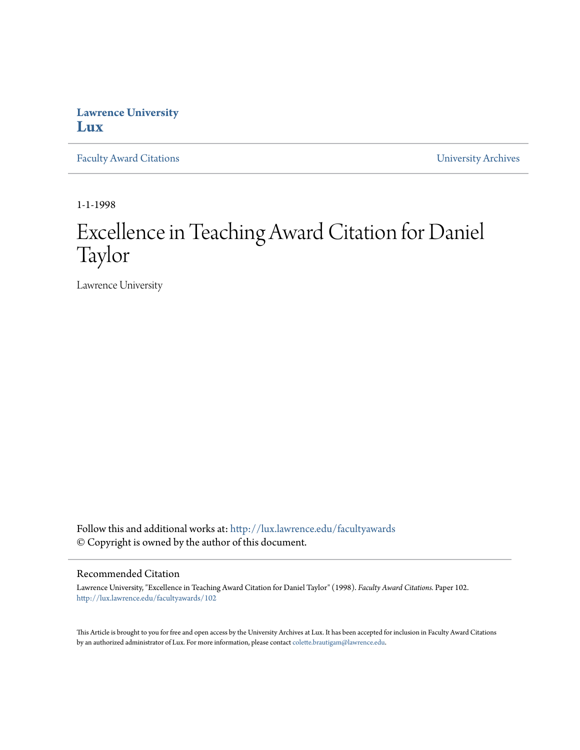## **Lawrence University [Lux](http://lux.lawrence.edu?utm_source=lux.lawrence.edu%2Ffacultyawards%2F102&utm_medium=PDF&utm_campaign=PDFCoverPages)**

[Faculty Award Citations](http://lux.lawrence.edu/facultyawards?utm_source=lux.lawrence.edu%2Ffacultyawards%2F102&utm_medium=PDF&utm_campaign=PDFCoverPages) **Example 2018** [University Archives](http://lux.lawrence.edu/archives?utm_source=lux.lawrence.edu%2Ffacultyawards%2F102&utm_medium=PDF&utm_campaign=PDFCoverPages)

1-1-1998

# Excellence in Teaching Award Citation for Daniel Taylor

Lawrence University

Follow this and additional works at: [http://lux.lawrence.edu/facultyawards](http://lux.lawrence.edu/facultyawards?utm_source=lux.lawrence.edu%2Ffacultyawards%2F102&utm_medium=PDF&utm_campaign=PDFCoverPages) © Copyright is owned by the author of this document.

#### Recommended Citation

Lawrence University, "Excellence in Teaching Award Citation for Daniel Taylor" (1998). *Faculty Award Citations.* Paper 102. [http://lux.lawrence.edu/facultyawards/102](http://lux.lawrence.edu/facultyawards/102?utm_source=lux.lawrence.edu%2Ffacultyawards%2F102&utm_medium=PDF&utm_campaign=PDFCoverPages)

This Article is brought to you for free and open access by the University Archives at Lux. It has been accepted for inclusion in Faculty Award Citations by an authorized administrator of Lux. For more information, please contact [colette.brautigam@lawrence.edu](mailto:colette.brautigam@lawrence.edu).